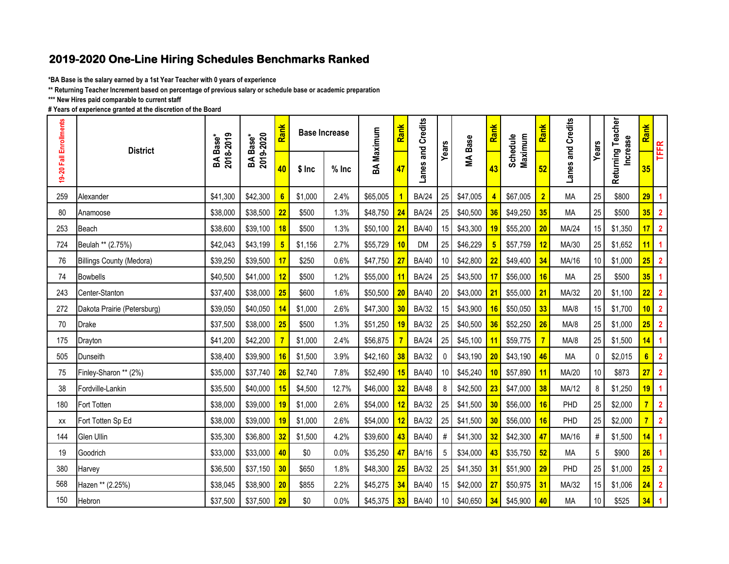## **2019-2020 One-Line Hiring Schedules Benchmarks Ranked**

**\*BA Base is the salary earned by a 1st Year Teacher with 0 years of experience**

**\*\* Returning Teacher Increment based on percentage of previous salary or schedule base or academic preparation**

**\*\*\* New Hires paid comparable to current staff**

**# Years of experience granted at the discretion of the Board**

| 19-20 Fall Enrollments | <b>District</b>                 | 2018-2019<br>BA Base <sup>*</sup> | 2019-2020<br>BA Base <sup>*</sup> | Rank           |         | BA Maximum<br><b>Base Increase</b> |          | Rank | Lanes and Credits | Years           | <b>MA Base</b> | Rank | Maximum<br>Schedule | Rank           | Lanes and Credits | Years           | Returning Teacher<br><b>Increase</b> | Rank            | TFFR                    |
|------------------------|---------------------------------|-----------------------------------|-----------------------------------|----------------|---------|------------------------------------|----------|------|-------------------|-----------------|----------------|------|---------------------|----------------|-------------------|-----------------|--------------------------------------|-----------------|-------------------------|
|                        |                                 |                                   |                                   | 40             | $$$ Inc | $%$ Inc                            |          |      |                   |                 |                | 43   |                     | 52             |                   |                 |                                      | 35              |                         |
| 259                    | Alexander                       | \$41,300                          | \$42,300                          | 6              | \$1,000 | 2.4%                               | \$65,005 |      | <b>BA/24</b>      | 25              | \$47,005       |      | \$67,005            | $\overline{2}$ | <b>MA</b>         | 25              | \$800                                | 29              | $\blacktriangleleft$    |
| 80                     | Anamoose                        | \$38,000                          | \$38,500                          | 22             | \$500   | 1.3%                               | \$48,750 | 24   | <b>BA/24</b>      | 25              | \$40,500       | 36   | \$49,250            | 35             | MA                | 25              | \$500                                | 35              | $\overline{2}$          |
| 253                    | <b>Beach</b>                    | \$38,600                          | \$39,100                          | 18             | \$500   | 1.3%                               | \$50,100 | 21   | <b>BA/40</b>      | 15 <sup>1</sup> | \$43,300       | 19   | \$55,200            | 20             | MA/24             | 15              | \$1,350                              | 17              | $\overline{2}$          |
| 724                    | Beulah ** (2.75%)               | \$42,043                          | \$43,199                          | $5\phantom{1}$ | \$1,156 | 2.7%                               | \$55,729 | 10   | <b>DM</b>         | 25              | \$46,229       |      | \$57,759            | 12             | MA/30             | 25              | \$1,652                              | 11              | $\blacktriangleleft$    |
| 76                     | <b>Billings County (Medora)</b> | \$39,250                          | \$39,500                          | 17             | \$250   | 0.6%                               | \$47,750 | 27   | <b>BA/40</b>      | 10 <sup>1</sup> | \$42,800       |      | \$49,400            | 34             | MA/16             | 10              | \$1,000                              | 25              | $\overline{2}$          |
| 74                     | <b>Bowbells</b>                 | \$40,500                          | \$41,000                          | 12             | \$500   | 1.2%                               | \$55,000 | 11   | <b>BA/24</b>      | 25              | \$43,500       | 17   | \$56,000            | 16             | MA                | 25              | \$500                                | 35              | $\blacktriangleleft$    |
| 243                    | Center-Stanton                  | \$37,400                          | \$38,000                          | 25             | \$600   | 1.6%                               | \$50,500 | 20   | <b>BA/40</b>      | 20              | \$43,000       | 21   | \$55,000            | 21             | MA/32             | 20              | \$1,100                              | 22 <sub>2</sub> | $\overline{2}$          |
| 272                    | Dakota Prairie (Petersburg)     | \$39,050                          | \$40,050                          | 14             | \$1,000 | 2.6%                               | \$47,300 | 30   | <b>BA/32</b>      | 15              | \$43,900       | 16   | \$50,050            | 33             | MA/8              | 15              | \$1,700                              | 10              | $\overline{2}$          |
| 70                     | <b>Drake</b>                    | \$37,500                          | \$38,000                          | 25             | \$500   | 1.3%                               | \$51,250 | 19   | <b>BA/32</b>      | 25              | \$40,500       | 36   | \$52,250            | 26             | MA/8              | 25              | \$1,000                              | 25              | $\overline{2}$          |
| 175                    | Drayton                         | \$41,200                          | \$42,200                          | $\overline{7}$ | \$1,000 | 2.4%                               | \$56,875 |      | <b>BA/24</b>      | 25              | \$45,100       | 11   | \$59,775            |                | MA/8              | 25              | \$1,500                              | 14              | $\overline{1}$          |
| 505                    | Dunseith                        | \$38,400                          | \$39,900                          | 16             | \$1,500 | 3.9%                               | \$42,160 | 38   | <b>BA/32</b>      | 0               | \$43,190       | 20   | \$43,190            | 46             | <b>MA</b>         | $\mathbf 0$     | \$2,015                              | 6 <sup>1</sup>  | $\overline{\mathbf{2}}$ |
| 75                     | Finley-Sharon ** (2%)           | \$35,000                          | \$37,740                          | 26             | \$2,740 | 7.8%                               | \$52,490 | 15   | <b>BA/40</b>      | 10 <sup>1</sup> | \$45,240       | 10   | \$57,890            | 11             | MA/20             | $10$            | \$873                                | 27 <sub>2</sub> | $\overline{2}$          |
| 38                     | Fordville-Lankin                | \$35,500                          | \$40,000                          | 15             | \$4,500 | 12.7%                              | \$46,000 | 32   | <b>BA/48</b>      | 8               | \$42,500       | 23   | \$47,000            | 38             | MA/12             | 8               | \$1,250                              | 19              | $\blacktriangleleft$    |
| 180                    | Fort Totten                     | \$38,000                          | \$39,000                          | 19             | \$1,000 | 2.6%                               | \$54,000 | 12   | <b>BA/32</b>      | 25              | \$41,500       | 30   | \$56,000            | 16             | PHD               | 25              | \$2,000                              | $\overline{7}$  | $\overline{2}$          |
| XX                     | Fort Totten Sp Ed               | \$38,000                          | \$39,000                          | 19             | \$1,000 | 2.6%                               | \$54,000 | 12   | <b>BA/32</b>      | 25              | \$41,500       | 30   | \$56,000            | 16             | PHD               | 25              | \$2,000                              | $\overline{7}$  | $\overline{2}$          |
| 144                    | Glen Ullin                      | \$35,300                          | \$36,800                          | 32             | \$1,500 | 4.2%                               | \$39,600 |      | <b>BA/40</b>      | #               | \$41,300       | 32   | \$42,300            | 47             | MA/16             | $\#$            | \$1,500                              | 4               | $\overline{1}$          |
| 19                     | Goodrich                        | \$33,000                          | \$33,000                          | 40             | \$0     | 0.0%                               | \$35,250 | 47   | <b>BA/16</b>      | 5               | \$34,000       | 43   | \$35,750            | 52             | MA                | $5\phantom{.0}$ | \$900                                | 26              | $\blacktriangleleft$    |
| 380                    | Harvey                          | \$36,500                          | \$37,150                          | 30             | \$650   | 1.8%                               | \$48,300 |      | <b>BA/32</b>      | 25              | \$41,350       | 31   | \$51,900            | 29             | PHD               | 25              | \$1,000                              | 25              | $\overline{2}$          |
| 568                    | Hazen ** (2.25%)                | \$38,045                          | \$38,900                          | 20             | \$855   | 2.2%                               | \$45,275 | 34   | <b>BA/40</b>      | 15              | \$42,000       | 27   | \$50,975            | 31             | MA/32             | 15              | \$1,006                              | 24              | $\overline{2}$          |
| 150                    | Hebron                          | \$37,500                          | \$37,500                          | 29             | \$0     | 0.0%                               | \$45,375 | 33   | <b>BA/40</b>      | 10 <sub>1</sub> | \$40,650       | 34   | \$45,900            | 40             | MA                | $10$            | \$525                                | 34              | $\blacktriangleleft$    |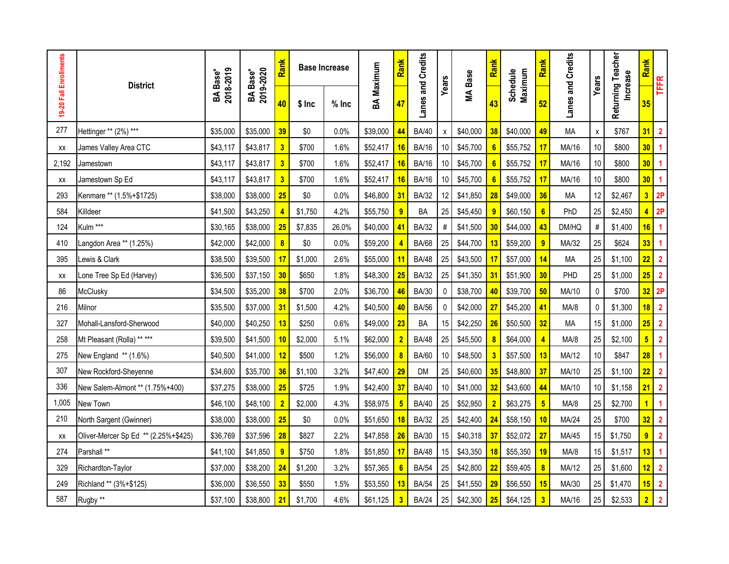| 19-20 Fall Enrollments | <b>District</b>                      |                       | 2019-2020<br>BA Base <sup>*</sup> | Rank                    |         | BA Maximum<br><b>Base Increase</b> |          | Rank                    | Lanes and Credits | Years        | <b>MA Base</b> | Rank           | Maximum<br>Schedule | Rank            | Lanes and Credits | Years              | Returning Teacher<br><b>Increase</b> | <b>Rank</b>      | <b>TFFR</b>             |
|------------------------|--------------------------------------|-----------------------|-----------------------------------|-------------------------|---------|------------------------------------|----------|-------------------------|-------------------|--------------|----------------|----------------|---------------------|-----------------|-------------------|--------------------|--------------------------------------|------------------|-------------------------|
|                        |                                      | 2018-2019<br>BA Base* |                                   | 40                      | $$$ Inc | $%$ Inc                            |          |                         |                   |              |                | 43             |                     | 52              |                   |                    |                                      | 35               |                         |
| 277                    | Hettinger ** (2%) ***                | \$35,000              | \$35,000                          | 39                      | \$0     | 0.0%                               | \$39,000 | 44                      | <b>BA/40</b>      | X            | \$40,000       | 38             | \$40,000            | 49              | <b>MA</b>         | $\pmb{\mathsf{x}}$ | \$767                                | 31               | $\overline{2}$          |
| XX                     | James Valley Area CTC                | \$43,117              | \$43,817                          | $\overline{\mathbf{3}}$ | \$700   | 1.6%                               | \$52,417 | 16                      | <b>BA/16</b>      | 10           | \$45,700       |                | \$55,752            | 17              | MA/16             | 10                 | \$800                                | 30 <sup>°</sup>  | $\blacktriangleleft$    |
| 2,192                  | Jamestown                            | \$43,117              | \$43,817                          | $\overline{\mathbf{3}}$ | \$700   | 1.6%                               | \$52,417 | 16                      | <b>BA/16</b>      | 10           | \$45,700       |                | \$55,752            | 17              | MA/16             | 10                 | \$800                                | 30 <sup>°</sup>  | $\overline{\mathbf{1}}$ |
| XX                     | Jamestown Sp Ed                      | \$43,117              | \$43,817                          | $\overline{\mathbf{3}}$ | \$700   | 1.6%                               | \$52,417 | 16                      | <b>BA/16</b>      | 10           | \$45,700       |                | \$55,752            | 17              | MA/16             | 10                 | \$800                                | 30 <sup>°</sup>  | $\overline{\mathbf{1}}$ |
| 293                    | Kenmare ** (1.5%+\$1725)             | \$38,000              | \$38,000                          | 25                      | \$0     | 0.0%                               | \$46,800 | 31                      | <b>BA/32</b>      | 12           | \$41,850       | 28             | \$49,000            | 36              | <b>MA</b>         | 12                 | \$2,467                              |                  | $3$ 2P                  |
| 584                    | Killdeer                             | \$41,500              | \$43,250                          | $\overline{4}$          | \$1,750 | 4.2%                               | \$55,750 | $\overline{9}$          | <b>BA</b>         | 25           | \$45,450       | 9              | \$60,150            | $6\overline{6}$ | PhD               | 25                 | \$2,450                              | $\blacktriangle$ | 2P                      |
| 124                    | Kulm ***                             | \$30,165              | \$38,000                          | 25                      | \$7,835 | 26.0%                              | \$40,000 | 41                      | <b>BA/32</b>      | #            | \$41,500       | 30             | \$44,000            | 43              | DM/HQ             | $\#$               | \$1,400                              | 16               | $\blacktriangleleft$    |
| 410                    | Langdon Area ** (1.25%)              | \$42,000              | \$42,000                          | $\overline{\mathbf{8}}$ | \$0     | 0.0%                               | \$59,200 | 4                       | <b>BA/68</b>      | 25           | \$44,700       | 13             | \$59,200            | $\overline{9}$  | MA/32             | 25                 | \$624                                | 33               | $\overline{\mathbf{1}}$ |
| 395                    | Lewis & Clark                        | \$38,500              | \$39,500                          | 17                      | \$1,000 | 2.6%                               | \$55,000 | 11                      | <b>BA/48</b>      | 25           | \$43,500       | 17             | \$57,000            | 14              | <b>MA</b>         | 25                 | \$1,100                              | 22               | $\overline{2}$          |
| XX                     | Lone Tree Sp Ed (Harvey)             | \$36,500              | \$37,150                          | 30                      | \$650   | 1.8%                               | \$48,300 | 25                      | <b>BA/32</b>      | 25           | \$41,350       | 31             | \$51,900            | 30              | PHD               | 25                 | \$1,000                              | 25               | $\overline{2}$          |
| 86                     | McClusky                             | \$34,500              | \$35,200                          | 38                      | \$700   | 2.0%                               | \$36,700 | 46                      | <b>BA/30</b>      | $\mathbf{0}$ | \$38,700       | 40             | \$39,700            | 50              | MA/10             | 0                  | \$700                                |                  | $32$ 2P                 |
| 216                    | Milnor                               | \$35,500              | \$37,000                          | 31                      | \$1,500 | 4.2%                               | \$40,500 | 40                      | <b>BA/56</b>      | 0            | \$42,000       | 27             | \$45,200            | 41              | MA/8              | $\mathbf 0$        | \$1,300                              | 18               | $\overline{\mathbf{2}}$ |
| 327                    | Mohall-Lansford-Sherwood             | \$40,000              | \$40,250                          | 13                      | \$250   | 0.6%                               | \$49,000 | 23                      | BA                | 15           | \$42,250       | 26             | \$50,500            | 32              | <b>MA</b>         | 15                 | \$1,000                              | 25               | $\overline{\mathbf{2}}$ |
| 258                    | Mt Pleasant (Rolla) ** ***           | \$39,500              | \$41,500                          | 10                      | \$2,000 | 5.1%                               | \$62,000 | $\overline{2}$          | <b>BA/48</b>      | 25           | \$45,500       |                | \$64,000            | $\overline{4}$  | MA/8              | 25                 | \$2,100                              | 5 <sup>1</sup>   | $\overline{2}$          |
| 275                    | New England ** (1.6%)                | \$40,500              | \$41,000                          | 12                      | \$500   | 1.2%                               | \$56,000 | $\overline{\mathbf{8}}$ | <b>BA/60</b>      | 10           | \$48,500       | 3              | \$57,500            | 13              | MA/12             | $10$               | \$847                                | 28               | $\blacktriangleleft$    |
| 307                    | New Rockford-Sheyenne                | \$34,600              | \$35,700                          | 36                      | \$1,100 | 3.2%                               | \$47,400 | 29                      | <b>DM</b>         | 25           | \$40,600       | 35             | \$48,800            | 37              | MA/10             | 25                 | \$1,100                              | 22 <sub>2</sub>  | $\overline{\mathbf{2}}$ |
| 336                    | New Salem-Almont ** (1.75%+400)      | \$37,275              | \$38,000                          | 25                      | \$725   | 1.9%                               | \$42,400 | 37                      | <b>BA/40</b>      | 10           | \$41,000       | 32             | \$43,600            | 44              | MA/10             | $10$               | \$1,158                              | 21               | $\overline{2}$          |
| 1,005                  | New Town                             | \$46,100              | \$48,100                          | $\overline{2}$          | \$2,000 | 4.3%                               | \$58,975 | $\overline{\mathbf{5}}$ | <b>BA/40</b>      | 25           | \$52,950       | $\overline{2}$ | \$63,275            | $5\phantom{.0}$ | MA/8              | 25                 | \$2,700                              | $\overline{1}$   | $\overline{\mathbf{1}}$ |
| 210                    | North Sargent (Gwinner)              | \$38,000              | \$38,000                          | 25                      | \$0     | 0.0%                               | \$51,650 | 18                      | <b>BA/32</b>      | 25           | \$42,400       | 24             | \$58,150            | 10              | MA/24             | 25                 | \$700                                | 32               | $\overline{\mathbf{2}}$ |
| XX                     | Oliver-Mercer Sp Ed ** (2.25%+\$425) | \$36,769              | \$37,596                          | 28                      | \$827   | 2.2%                               | \$47,858 | 26                      | <b>BA/30</b>      | 15           | \$40,318       | 37             | \$52,072            | 27              | MA/45             | 15                 | \$1,750                              | $\overline{9}$   | $\overline{\mathbf{2}}$ |
| 274                    | Parshall **                          | \$41,100              | \$41,850                          | $\overline{9}$          | \$750   | 1.8%                               | \$51,850 | 17                      | <b>BA/48</b>      | 15           | \$43,350       | 18             | \$55,350            | 19              | MA/8              | 15                 | \$1,517                              | 13               | $\overline{\mathbf{1}}$ |
| 329                    | Richardton-Taylor                    | \$37,000              | \$38,200                          | 24                      | \$1,200 | 3.2%                               | \$57,365 | 6                       | <b>BA/54</b>      | 25           | \$42,800       | 22             | \$59,405            | 8               | MA/12             | 25                 | \$1,600                              | 12 <sup>2</sup>  | $\overline{2}$          |
| 249                    | Richland ** (3%+\$125)               | \$36,000              | \$36,550                          | 33                      | \$550   | 1.5%                               | \$53,550 | 13                      | <b>BA/54</b>      | 25           | \$41,550       | 29             | \$56,550            | 15              | MA/30             | 25                 | \$1,470                              | 15               | $\overline{2}$          |
| 587                    | Rugby **                             | \$37,100              | \$38,800                          | 21                      | \$1,700 | 4.6%                               | \$61,125 | $\overline{\mathbf{3}}$ | <b>BA/24</b>      | 25           | \$42,300       | 25             | \$64,125            | $\overline{3}$  | MA/16             | 25                 | \$2,533                              | $\overline{2}$   | $\overline{2}$          |